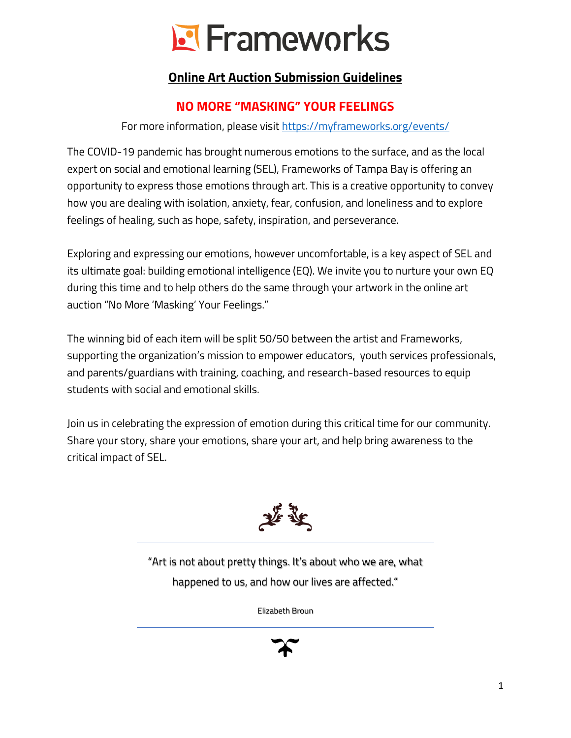# **E** Frameworks

## **Online Art Auction Submission Guidelines**

## **NO MORE "MASKING" YOUR FEELINGS**

For more information, please visit <https://myframeworks.org/events/>

The COVID-19 pandemic has brought numerous emotions to the surface, and as the local expert on social and emotional learning (SEL), Frameworks of Tampa Bay is offering an opportunity to express those emotions through art. This is a creative opportunity to convey how you are dealing with isolation, anxiety, fear, confusion, and loneliness and to explore feelings of healing, such as hope, safety, inspiration, and perseverance.

Exploring and expressing our emotions, however uncomfortable, is a key aspect of SEL and its ultimate goal: building emotional intelligence (EQ). We invite you to nurture your own EQ during this time and to help others do the same through your artwork in the online art auction "No More 'Masking' Your Feelings."

The winning bid of each item will be split 50/50 between the artist and Frameworks, supporting the organization's mission to empower educators, youth services professionals, and parents/guardians with training, coaching, and research-based resources to equip students with social and emotional skills.

Join us in celebrating the expression of emotion during this critical time for our community. Share your story, share your emotions, share your art, and help bring awareness to the critical impact of SEL.



"Art is not about pretty things. It's about who we are, what happened to us, and how our lives are affected."

Elizabeth Broun

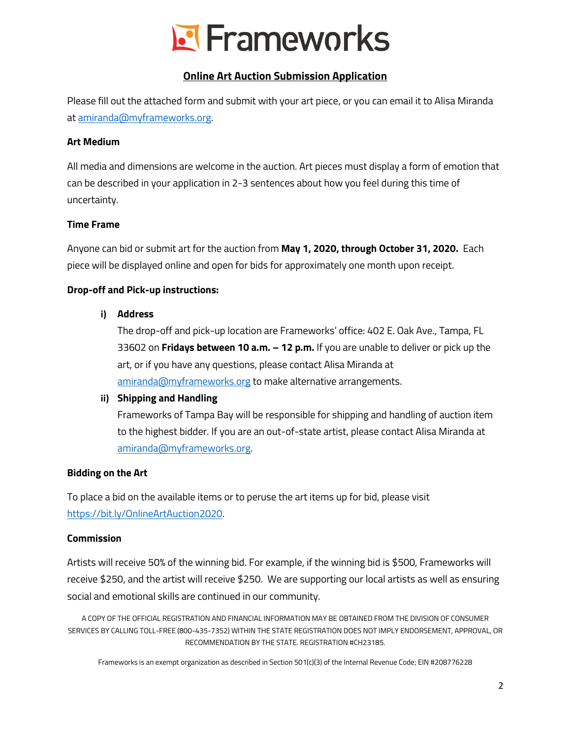

### **Online Art Auction Submission Application**

Please fill out the attached form and submit with your art piece, or you can email it to Alisa Miranda at [amiranda@myframeworks.org.](mailto:amiranda@myframeworks.org)

#### **Art Medium**

All media and dimensions are welcome in the auction. Art pieces must display a form of emotion that can be described in your application in 2-3 sentences about how you feel during this time of uncertainty.

#### **Time Frame**

Anyone can bid or submit art for the auction from **May 1, 2020, through October 31, 2020.** Each piece will be displayed online and open for bids for approximately one month upon receipt.

#### **Drop-off and Pick-up instructions:**

#### **i) Address**

The drop-off and pick-up location are Frameworks' office: 402 E. Oak Ave., Tampa, FL 33602 on **Fridays between 10 a.m. – 12 p.m.** If you are unable to deliver or pick up the art, or if you have any questions, please contact Alisa Miranda at [amiranda@myframeworks.org](mailto:amiranda@myframeworks.org) to make alternative arrangements.

#### **ii) Shipping and Handling**

Frameworks of Tampa Bay will be responsible for shipping and handling of auction item to the highest bidder. If you are an out-of-state artist, please contact Alisa Miranda at [amiranda@myframeworks.org.](mailto:amiranda@myframeworks.org)

#### **Bidding on the Art**

To place a bid on the available items or to peruse the art items up for bid, please visit [https://bit.ly/OnlineArtAuction2020.](https://bit.ly/OnlineArtAuction2020)

#### **Commission**

Artists will receive 50% of the winning bid. For example, if the winning bid is \$500, Frameworks will receive \$250, and the artist will receive \$250. We are supporting our local artists as well as ensuring social and emotional skills are continued in our community.

A COPY OF THE OFFICIAL REGISTRATION AND FINANCIAL INFORMATION MAY BE OBTAINED FROM THE DIVISION OF CONSUMER SERVICES BY CALLING TOLL-FREE (800-435-7352) WITHIN THE STATE REGISTRATION DOES NOT IMPLY ENDORSEMENT, APPROVAL, OR RECOMMENDATION BY THE STATE. REGISTRATION #CH23185.

Frameworks is an exempt organization as described in Section 501(c)(3) of the Internal Revenue Code; EIN #208776228